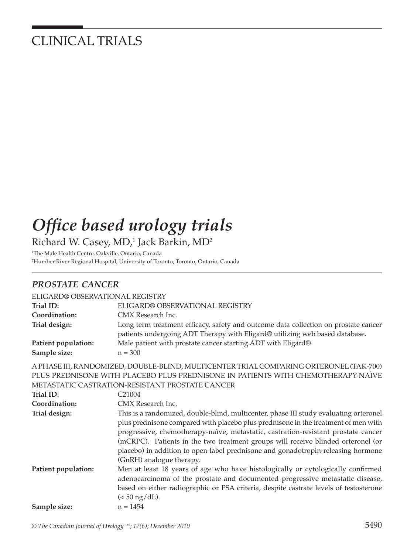## CLINICAL TRIALS

# **Office based urology trials** Richard W. Casey, MD,<sup>1</sup> Jack Barkin, MD<sup>2</sup>

1 The Male Health Centre, Oakville, Ontario, Canada 2 Humber River Regional Hospital, University of Toronto, Toronto, Ontario, Canada

### *PROSTATE CANCER*

| ELIGARD® OBSERVATIONAL REGISTRY     |                                                                                                                                                                    |
|-------------------------------------|--------------------------------------------------------------------------------------------------------------------------------------------------------------------|
| Trial ID:                           | ELIGARD® OBSERVATIONAL REGISTRY                                                                                                                                    |
| Coordination:                       | CMX Research Inc.                                                                                                                                                  |
| Trial design:                       | Long term treatment efficacy, safety and outcome data collection on prostate cancer<br>patients undergoing ADT Therapy with Eligard® utilizing web based database. |
| Patient population:<br>Sample size: | Male patient with prostate cancer starting ADT with Eligard®.<br>$n = 300$                                                                                         |

A PHASE III, RANDOMIZED, DOUBLE-BLIND, MULTICENTER TRIAL COMPARING ORTERONEL (TAK-700) PLUS PREDNISONE WITH PLACEBO PLUS PREDNISONE IN PATIENTS WITH CHEMOTHERAPY-NAÏVE METASTATIC CASTRATION-RESISTANT PROSTATE CANCER

| Trial ID:           | C <sub>21004</sub>                                                                    |
|---------------------|---------------------------------------------------------------------------------------|
| Coordination:       | CMX Research Inc.                                                                     |
| Trial design:       | This is a randomized, double-blind, multicenter, phase III study evaluating orteronel |
|                     | plus prednisone compared with placebo plus prednisone in the treatment of men with    |
|                     | progressive, chemotherapy-naïve, metastatic, castration-resistant prostate cancer     |
|                     | (mCRPC). Patients in the two treatment groups will receive blinded orteronel (or      |
|                     | placebo) in addition to open-label prednisone and gonadotropin-releasing hormone      |
|                     | (GnRH) analogue therapy.                                                              |
| Patient population: | Men at least 18 years of age who have histologically or cytologically confirmed       |
|                     | adenocarcinoma of the prostate and documented progressive metastatic disease,         |
|                     | based on either radiographic or PSA criteria, despite castrate levels of testosterone |
|                     | $(< 50$ ng/dL).                                                                       |
| Sample size:        | $n = 1454$                                                                            |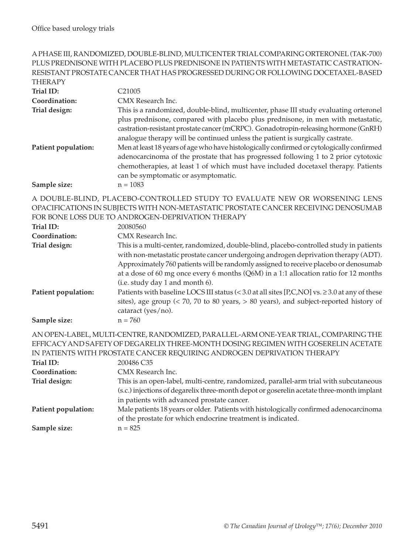#### A PHASE III, RANDOMIZED, DOUBLE-BLIND, MULTICENTER TRIAL COMPARING ORTERONEL (TAK-700) PLUS PREDNISONE WITH PLACEBO PLUS PREDNISONE IN PATIENTS WITH METASTATIC CASTRATION-RESISTANT PROSTATE CANCER THAT HAS PROGRESSED DURING OR FOLLOWING DOCETAXEL-BASED THED A DV

| I FILINAL'I         |                                                                                                                                                                                                                                                                                                                                                  |
|---------------------|--------------------------------------------------------------------------------------------------------------------------------------------------------------------------------------------------------------------------------------------------------------------------------------------------------------------------------------------------|
| Trial ID:           | C <sub>21005</sub>                                                                                                                                                                                                                                                                                                                               |
| Coordination:       | CMX Research Inc.                                                                                                                                                                                                                                                                                                                                |
| Trial design:       | This is a randomized, double-blind, multicenter, phase III study evaluating orteronel<br>plus prednisone, compared with placebo plus prednisone, in men with metastatic,<br>castration-resistant prostate cancer (mCRPC). Gonadotropin-releasing hormone (GnRH)<br>analogue therapy will be continued unless the patient is surgically castrate. |
| Patient population: | Men at least 18 years of age who have histologically confirmed or cytologically confirmed<br>adenocarcinoma of the prostate that has progressed following 1 to 2 prior cytotoxic<br>chemotherapies, at least 1 of which must have included docetaxel therapy. Patients<br>can be symptomatic or asymptomatic.                                    |
| Sample size:        | $n = 1083$                                                                                                                                                                                                                                                                                                                                       |

A DOUBLE-BLIND, PLACEBO-CONTROLLED STUDY TO EVALUATE NEW OR WORSENING LENS OPACIFICATIONS IN SUBJECTS WITH NON-METASTATIC PROSTATE CANCER RECEIVING DENOSUMAB FOR BONE LOSS DUE TO ANDROGEN-DEPRIVATION THERAPY

| Trial ID:           | 20080560                                                                                                                                                                                                                                                                                                                                                                                        |
|---------------------|-------------------------------------------------------------------------------------------------------------------------------------------------------------------------------------------------------------------------------------------------------------------------------------------------------------------------------------------------------------------------------------------------|
| Coordination:       | CMX Research Inc.                                                                                                                                                                                                                                                                                                                                                                               |
| Trial design:       | This is a multi-center, randomized, double-blind, placebo-controlled study in patients<br>with non-metastatic prostate cancer undergoing androgen deprivation therapy (ADT).<br>Approximately 760 patients will be randomly assigned to receive placebo or denosumab<br>at a dose of 60 mg once every 6 months (Q6M) in a 1:1 allocation ratio for 12 months<br>(i.e. study day 1 and month 6). |
| Patient population: | Patients with baseline LOCS III status (< 3.0 at all sites [P,C,NO] vs. $\geq$ 3.0 at any of these<br>sites), age group $\left($ < 70, 70 to 80 years, $> 80$ years), and subject-reported history of<br>cataract (yes/no).                                                                                                                                                                     |
| Sample size:        | $n = 760$                                                                                                                                                                                                                                                                                                                                                                                       |

AN OPEN-LABEL, MULTI-CENTRE, RANDOMIZED, PARALLEL-ARM ONE-YEAR TRIAL, COMPARING THE EFFICACY AND SAFETY OF DEGARELIX THREE-MONTH DOSING REGIMEN WITH GOSERELIN ACETATE IN PATIENTS WITH PROSTATE CANCER REQUIRING ANDROGEN DEPRIVATION THERAPY

| Trial ID:           | 200486 C35                                                                                |
|---------------------|-------------------------------------------------------------------------------------------|
| Coordination:       | CMX Research Inc.                                                                         |
| Trial design:       | This is an open-label, multi-centre, randomized, parallel-arm trial with subcutaneous     |
|                     | (s.c.) injections of degarelix three-month depot or goserelin acetate three-month implant |
|                     | in patients with advanced prostate cancer.                                                |
| Patient population: | Male patients 18 years or older. Patients with histologically confirmed adenocarcinoma    |
|                     | of the prostate for which endocrine treatment is indicated.                               |
| Sample size:        | $n = 825$                                                                                 |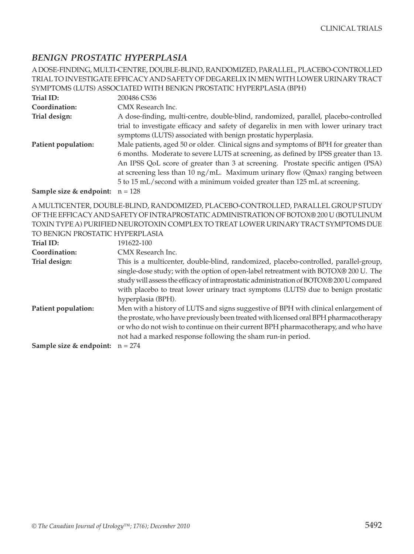### *BENIGN PROSTATIC HYPERPLASIA*

A DOSE-FINDING, MULTI-CENTRE, DOUBLE-BLIND, RANDOMIZED, PARALLEL, PLACEBO-CONTROLLED TRIAL TO INVESTIGATE EFFICACY AND SAFETY OF DEGARELIX IN MEN WITH LOWER URINARY TRACT SYMPTOMS (LUTS) ASSOCIATED WITH BENIGN PROSTATIC HYPERPLASIA (BPH)

| Trial ID:                | 200486 CS36                                                                             |
|--------------------------|-----------------------------------------------------------------------------------------|
| Coordination:            | CMX Research Inc.                                                                       |
| Trial design:            | A dose-finding, multi-centre, double-blind, randomized, parallel, placebo-controlled    |
|                          | trial to investigate efficacy and safety of degarelix in men with lower urinary tract   |
|                          | symptoms (LUTS) associated with benign prostatic hyperplasia.                           |
| Patient population:      | Male patients, aged 50 or older. Clinical signs and symptoms of BPH for greater than    |
|                          | 6 months. Moderate to severe LUTS at screening, as defined by IPSS greater than 13.     |
|                          | An IPSS QoL score of greater than 3 at screening. Prostate specific antigen (PSA)       |
|                          | at screening less than 10 $\frac{mg}{mL}$ . Maximum urinary flow (Qmax) ranging between |
|                          | 5 to 15 mL/second with a minimum voided greater than 125 mL at screening.               |
| $0.00011334 - 0.0011334$ |                                                                                         |

**Sample size & endpoint:**  $n = 128$ 

A MULTICENTER, DOUBLE-BLIND, RANDOMIZED, PLACEBO-CONTROLLED, PARALLEL GROUP STUDY OF THE EFFICACY AND SAFETY OF INTRAPROSTATIC ADMINISTRATION OF BOTOX® 200 U (BOTULINUM TOXIN TYPE A) PURIFIED NEUROTOXIN COMPLEX TO TREAT LOWER URINARY TRACT SYMPTOMS DUE

TO BENIGN PROSTATIC HYPERPLASIA

| Trial ID:                                    | 191622-100                                                                                                                                                                                                                                                                                                                                                                         |
|----------------------------------------------|------------------------------------------------------------------------------------------------------------------------------------------------------------------------------------------------------------------------------------------------------------------------------------------------------------------------------------------------------------------------------------|
| Coordination:                                | CMX Research Inc.                                                                                                                                                                                                                                                                                                                                                                  |
| Trial design:                                | This is a multicenter, double-blind, randomized, placebo-controlled, parallel-group,<br>single-dose study; with the option of open-label retreatment with BOTOX® 200 U. The<br>study will assess the efficacy of intraprostatic administration of BOTOX® 200 U compared<br>with placebo to treat lower urinary tract symptoms (LUTS) due to benign prostatic<br>hyperplasia (BPH). |
| Patient population:                          | Men with a history of LUTS and signs suggestive of BPH with clinical enlargement of<br>the prostate, who have previously been treated with licensed oral BPH pharmacotherapy<br>or who do not wish to continue on their current BPH pharmacotherapy, and who have<br>not had a marked response following the sham run-in period.                                                   |
| <b>Sample size &amp; endpoint:</b> $n = 274$ |                                                                                                                                                                                                                                                                                                                                                                                    |